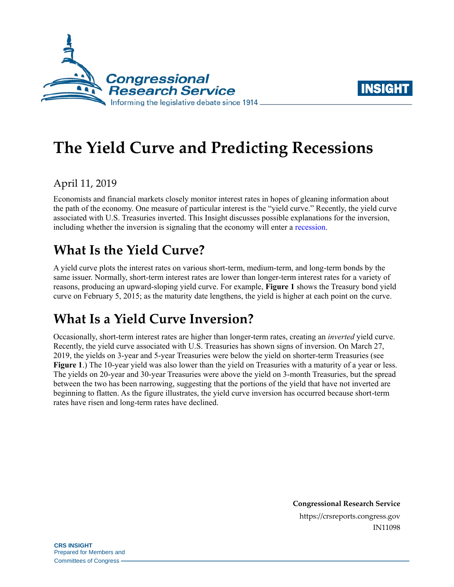



# **The Yield Curve and Predicting Recessions**

## April 11, 2019

Economists and financial markets closely monitor interest rates in hopes of gleaning information about the path of the economy. One measure of particular interest is the "yield curve." Recently, the yield curve associated with U.S. Treasuries inverted. This Insight discusses possible explanations for the inversion, including whether the inversion is signaling that the economy will enter a [recession.](https://crsreports.congress.gov/product/pdf/IN/IN10853)

# **What Is the Yield Curve?**

A yield curve plots the interest rates on various short-term, medium-term, and long-term bonds by the same issuer. Normally, short-term interest rates are lower than longer-term interest rates for a variety of reasons, producing an upward-sloping yield curve. For example, **[Figure 1](#page-1-0)** shows the Treasury bond yield curve on February 5, 2015; as the maturity date lengthens, the yield is higher at each point on the curve.

# **What Is a Yield Curve Inversion?**

Occasionally, short-term interest rates are higher than longer-term rates, creating an *inverted* yield curve. Recently, the yield curve associated with U.S. Treasuries has shown signs of inversion. On March 27, 2019, the yields on 3-year and 5-year Treasuries were below the yield on shorter-term Treasuries (see **[Figure 1](#page-1-0)**.) The 10-year yield was also lower than the yield on Treasuries with a maturity of a year or less. The yields on 20-year and 30-year Treasuries were above the yield on 3-month Treasuries, but the spread between the two has been narrowing, suggesting that the portions of the yield that have not inverted are beginning to flatten. As the figure illustrates, the yield curve inversion has occurred because short-term rates have risen and long-term rates have declined.

> **Congressional Research Service** https://crsreports.congress.gov IN11098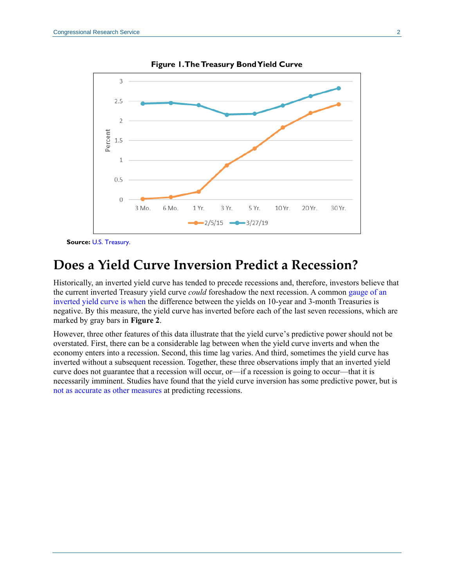<span id="page-1-0"></span>

**Figure 1. The Treasury Bond Yield Curve**

**Source:** [U.S. Treasury.](https://www.treasury.gov/resource-center/data-chart-center/interest-rates/pages/textview.aspx?data=yield)

# **Does a Yield Curve Inversion Predict a Recession?**

Historically, an inverted yield curve has tended to precede recessions and, therefore, investors believe that the current inverted Treasury yield curve *could* foreshadow the next recession. A common [gauge of an](https://www.frbsf.org/economic-research/publications/economic-letter/2018/august/information-in-yield-curve-about-future-recessions/?utm_source=mailchimp&utm_medium=email&utm_campaign=economic-letter)  [inverted yield curve is when](https://www.frbsf.org/economic-research/publications/economic-letter/2018/august/information-in-yield-curve-about-future-recessions/?utm_source=mailchimp&utm_medium=email&utm_campaign=economic-letter) the difference between the yields on 10-year and 3-month Treasuries is negative. By this measure, the yield curve has inverted before each of the last seven recessions, which are marked by gray bars in **[Figure 2](#page-2-0)**.

However, three other features of this data illustrate that the yield curve's predictive power should not be overstated. First, there can be a considerable lag between when the yield curve inverts and when the economy enters into a recession. Second, this time lag varies. And third, sometimes the yield curve has inverted without a subsequent recession. Together, these three observations imply that an inverted yield curve does not guarantee that a recession will occur, or—if a recession is going to occur—that it is necessarily imminent. Studies have found that the yield curve inversion has some predictive power, but is [not as accurate as other measures](https://www.federalreserve.gov/econres/notes/feds-notes/predicting-recession-probabilities-using-the-slope-of-the-yield-curve-20180301.htm) at predicting recessions.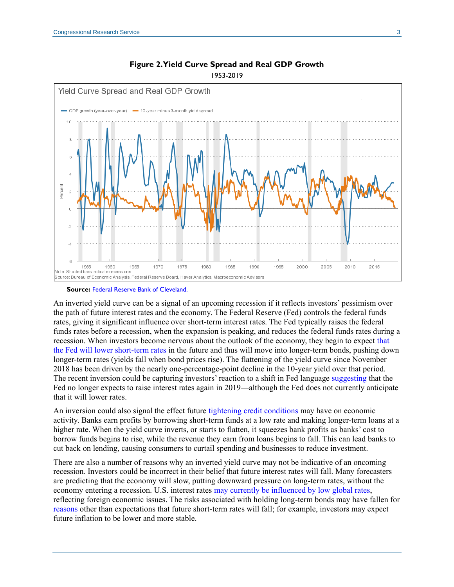<span id="page-2-0"></span>

#### **Figure 2. Yield Curve Spread and Real GDP Growth** 1953-2019

#### **Source:** [Federal Reserve Bank of Cleveland.](https://www.clevelandfed.org/our-research/indicators-and-data/yield-curve-and-gdp-growth.aspx)

An inverted yield curve can be a signal of an upcoming recession if it reflects investors' pessimism over the path of future interest rates and the economy. The Federal Reserve (Fed) controls the federal funds rates, giving it significant influence over short-term interest rates. The Fed typically raises the federal funds rates before a recession, when the expansion is peaking, and reduces the federal funds rates during a recession. When investors become nervous about the outlook of the economy, they begin to expect [that](https://www.federalreserve.gov/econres/feds/files/2018055pap.pdf)  [the Fed will lower short-term rates](https://www.federalreserve.gov/econres/feds/files/2018055pap.pdf) in the future and thus will move into longer-term bonds, pushing down longer-term rates (yields fall when bond prices rise). The flattening of the yield curve since November 2018 has been driven by the nearly one-percentage-point decline in the 10-year yield over that period. The recent inversion could be capturing investors' reaction to a shift in Fed language [suggesting](https://www.nytimes.com/2019/02/20/business/economy/fed-interest-rates-minutes.html) that the Fed no longer expects to raise interest rates again in 2019—although the Fed does not currently anticipate that it will lower rates.

An inversion could also signal the effect future [tightening credit conditions](https://www.stlouisfed.org/on-the-economy/2018/december/inverted-yield-curve-cause-recession) may have on economic activity. Banks earn profits by borrowing short-term funds at a low rate and making longer-term loans at a higher rate. When the yield curve inverts, or starts to flatten, it squeezes bank profits as banks' cost to borrow funds begins to rise, while the revenue they earn from loans begins to fall. This can lead banks to cut back on lending, causing consumers to curtail spending and businesses to reduce investment.

There are also a number of reasons why an inverted yield curve may not be indicative of an oncoming recession. Investors could be incorrect in their belief that future interest rates will fall. Many [forecasters](https://www.wsj.com/graphics/econsurvey/) are predicting that the economy will slow, putting downward pressure on long-term rates, without the economy entering a recession. U.S. interest rates [may currently be influenced by low global rates,](https://crsreports.congress.gov/product/pdf/IN/IN11074) reflecting foreign economic issues. The risks associated with holding long-term bonds may have fallen for [reasons](https://www.brookings.edu/blog/ben-bernanke/2015/04/13/why-are-interest-rates-so-low-part-4-term-premiums/) other than expectations that future short-term rates will fall; for example, investors may expect future inflation to be lower and more stable.